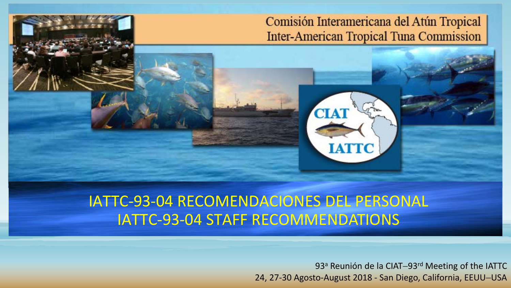# Comisión Interamericana del Atún Tropical **Inter-American Tropical Tuna Commission**

**CIAT** 

**IATTC** 

# IATTC-93-04 RECOMENDACIONES DEL PERSONAL IATTC-93-04 STAFF RECOMMENDATIONS

93<sup>a</sup> Reunión de la CIAT-93<sup>rd</sup> Meeting of the IATTC 24, 27-30 Agosto-August 2018 - San Diego, California, EEUU−USA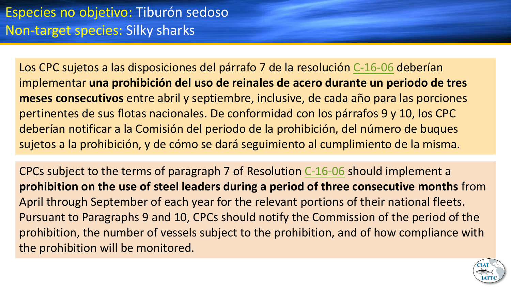Los CPC sujetos a las disposiciones del párrafo 7 de la resolución [C-16-06](https://www.iattc.org/PDFFiles/Resolutions/_Spanish/C-16-06-Conservacion-de-tiburones.pdf) deberían implementar **una prohibición del uso de reinales de acero durante un periodo de tres meses consecutivos** entre abril y septiembre, inclusive, de cada año para las porciones pertinentes de sus flotas nacionales. De conformidad con los párrafos 9 y 10, los CPC deberían notificar a la Comisión del periodo de la prohibición, del número de buques sujetos a la prohibición, y de cómo se dará seguimiento al cumplimiento de la misma.

CPCs subject to the terms of paragraph 7 of Resolution [C-16-06](https://www.iattc.org/PDFFiles/Resolutions/_English/C-16-06-Conservation-of-sharks.pdf) should implement a **prohibition on the use of steel leaders during a period of three consecutive months** from April through September of each year for the relevant portions of their national fleets. Pursuant to Paragraphs 9 and 10, CPCs should notify the Commission of the period of the prohibition, the number of vessels subject to the prohibition, and of how compliance with the prohibition will be monitored.

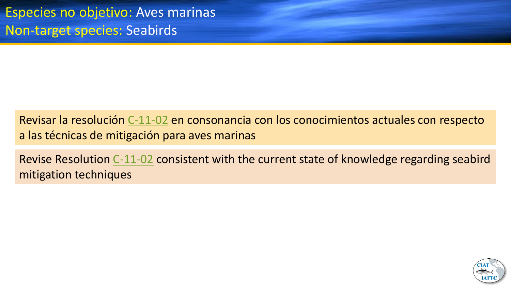Revisar la resolución [C-11-02](https://www.iattc.org/PDFFiles/Resolutions/_Spanish/C-11-02-Aves-marinas.pdf) en consonancia con los conocimientos actuales con respecto a las técnicas de mitigación para aves marinas

Revise Resolution [C-11-02](http://www.iattc.org/PDFFiles2/Resolutions/C-11-02-Seabirds.pdf) consistent with the current state of knowledge regarding seabird mitigation techniques

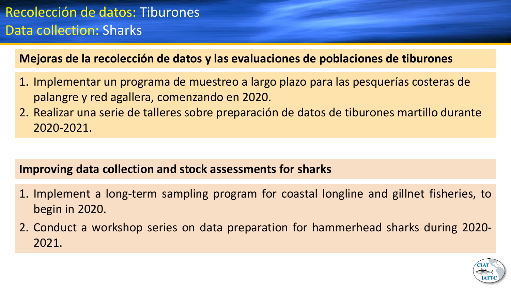**Mejoras de la recolección de datos y las evaluaciones de poblaciones de tiburones**

- 1. Implementar un programa de muestreo a largo plazo para las pesquerías costeras de palangre y red agallera, comenzando en 2020.
- 2. Realizar una serie de talleres sobre preparación de datos de tiburones martillo durante 2020-2021.

# **Improving data collection and stock assessments for sharks**

- 1. Implement a long-term sampling program for coastal longline and gillnet fisheries, to begin in 2020.
- 2. Conduct a workshop series on data preparation for hammerhead sharks during 2020- 2021.

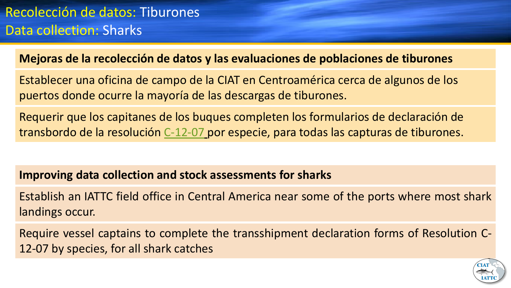# **Mejoras de la recolección de datos y las evaluaciones de poblaciones de tiburones**

Establecer una oficina de campo de la CIAT en Centroamérica cerca de algunos de los puertos donde ocurre la mayoría de las descargas de tiburones.

Requerir que los capitanes de los buques completen los formularios de declaración de transbordo de la resolución [C-12-07](https://www.iattc.org/PDFFiles/Resolutions/_Spanish/C-12-07-Enmienda-C-11-09-Transbordos.pdf) por especie, para todas las capturas de tiburones.

# **Improving data collection and stock assessments for sharks**

Establish an IATTC field office in Central America near some of the ports where most shark landings occur.

Require vessel captains to complete the transshipment declaration forms of Resolution C-12-07 by species, for all shark catches

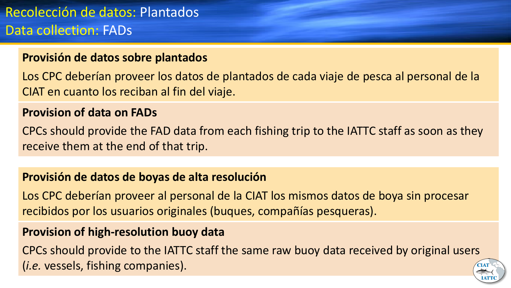# **Provisión de datos sobre plantados**

Los CPC deberían proveer los datos de plantados de cada viaje de pesca al personal de la CIAT en cuanto los reciban al fin del viaje.

## **Provision of data on FADs**

CPCs should provide the FAD data from each fishing trip to the IATTC staff as soon as they receive them at the end of that trip.

# **Provisión de datos de boyas de alta resolución**

Los CPC deberían proveer al personal de la CIAT los mismos datos de boya sin procesar recibidos por los usuarios originales (buques, compañías pesqueras).

## **Provision of high-resolution buoy data**

CPCs should provide to the IATTC staff the same raw buoy data received by original users (*i.e.* vessels, fishing companies).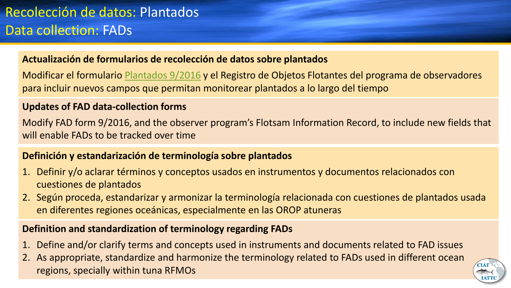#### **Actualización de formularios de recolección de datos sobre plantados**

Modificar el formulario [Plantados 9/2016](https://www.iattc.org/Downloads/Forms/FAD-Form-3.1.3-ENG.pdf) y el Registro de Objetos Flotantes del programa de observadores para incluir nuevos campos que permitan monitorear plantados a lo largo del tiempo

#### **Updates of FAD data-collection forms**

Modify FAD form 9/2016, and the observer program's Flotsam Information Record, to include new fields that will enable FADs to be tracked over time

#### **Definición y estandarización de terminología sobre plantados**

- 1. Definir y/o aclarar términos y conceptos usados en instrumentos y documentos relacionados con cuestiones de plantados
- 2. Según proceda, estandarizar y armonizar la terminología relacionada con cuestiones de plantados usada en diferentes regiones oceánicas, especialmente en las OROP atuneras

#### **Definition and standardization of terminology regarding FADs**

- 1. Define and/or clarify terms and concepts used in instruments and documents related to FAD issues
- 2. As appropriate, standardize and harmonize the terminology related to FADs used in different ocean regions, specially within tuna RFMOs

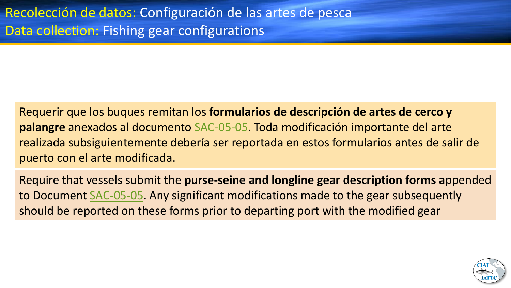Requerir que los buques remitan los **formularios de descripción de artes de cerco y palangre** anexados al documento [SAC-05-05](https://www.iattc.org/Meetings/Meetings2014/May/_Spanish/SAC-05-05-Datos-de-artes-de-pesca-para-fines-cientificos.pdf). Toda modificación importante del arte realizada subsiguientemente debería ser reportada en estos formularios antes de salir de puerto con el arte modificada.

Require that vessels submit the **purse-seine and longline gear description forms a**ppended to Document [SAC-05-05.](http://www.iattc.org/Meetings/Meetings2014/MAYSAC/PDFs/SAC-05-05-Fishing-gear-data-for-scientific-purposes.pdf) Any significant modifications made to the gear subsequently should be reported on these forms prior to departing port with the modified gear

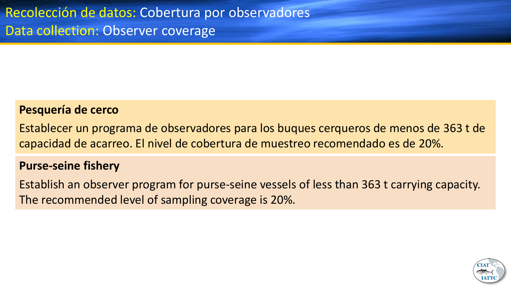## **Pesquería de cerco**

Establecer un programa de observadores para los buques cerqueros de menos de 363 t de capacidad de acarreo. El nivel de cobertura de muestreo recomendado es de 20%.

#### **Purse-seine fishery**

Establish an observer program for purse-seine vessels of less than 363 t carrying capacity. The recommended level of sampling coverage is 20%.

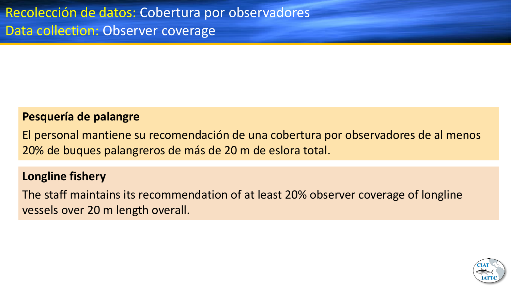# **Pesquería de palangre**

El personal mantiene su recomendación de una cobertura por observadores de al menos 20% de buques palangreros de más de 20 m de eslora total.

# **Longline fishery**

The staff maintains its recommendation of at least 20% observer coverage of longline vessels over 20 m length overall.

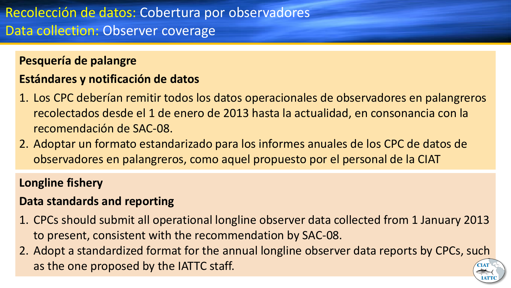## **Pesquería de palangre**

# **Estándares y notificación de datos**

- 1. Los CPC deberían remitir todos los datos operacionales de observadores en palangreros recolectados desde el 1 de enero de 2013 hasta la actualidad, en consonancia con la recomendación de SAC-08.
- 2. Adoptar un formato estandarizado para los informes anuales de los CPC de datos de observadores en palangreros, como aquel propuesto por el personal de la CIAT

# **Longline fishery**

# **Data standards and reporting**

- 1. CPCs should submit all operational longline observer data collected from 1 January 2013 to present, consistent with the recommendation by SAC-08.
- 2. Adopt a standardized format for the annual longline observer data reports by CPCs, such as the one proposed by the IATTC staff.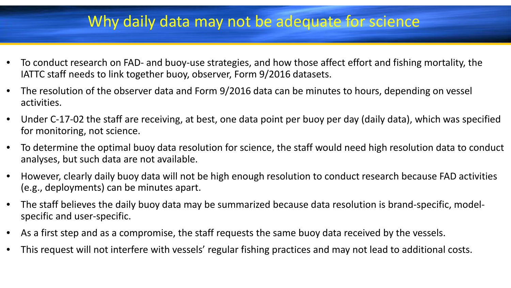# Why daily data may not be adequate for science

- To conduct research on FAD- and buoy-use strategies, and how those affect effort and fishing mortality, the IATTC staff needs to link together buoy, observer, Form 9/2016 datasets.
- The resolution of the observer data and Form 9/2016 data can be minutes to hours, depending on vessel activities.
- Under C-17-02 the staff are receiving, at best, one data point per buoy per day (daily data), which was specified for monitoring, not science.
- To determine the optimal buoy data resolution for science, the staff would need high resolution data to conduct analyses, but such data are not available.
- However, clearly daily buoy data will not be high enough resolution to conduct research because FAD activities (e.g., deployments) can be minutes apart.
- The staff believes the daily buoy data may be summarized because data resolution is brand-specific, modelspecific and user-specific.
- As a first step and as a compromise, the staff requests the same buoy data received by the vessels.
- This request will not interfere with vessels' regular fishing practices and may not lead to additional costs.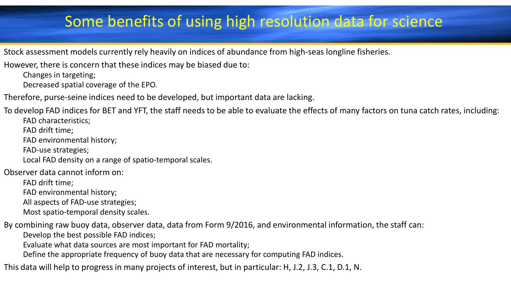# Some benefits of using high resolution data for science

Stock assessment models currently rely heavily on indices of abundance from high-seas longline fisheries.

However, there is concern that these indices may be biased due to:

Changes in targeting;

Decreased spatial coverage of the EPO.

Therefore, purse-seine indices need to be developed, but important data are lacking.

To develop FAD indices for BET and YFT, the staff needs to be able to evaluate the effects of many factors on tuna catch rates, including:

FAD characteristics;

FAD drift time;

FAD environmental history;

FAD-use strategies;

Local FAD density on a range of spatio-temporal scales.

Observer data cannot inform on:

FAD drift time;

FAD environmental history;

All aspects of FAD-use strategies;

Most spatio-temporal density scales.

By combining raw buoy data, observer data, data from Form 9/2016, and environmental information, the staff can:

Develop the best possible FAD indices;

Evaluate what data sources are most important for FAD mortality;

Define the appropriate frequency of buoy data that are necessary for computing FAD indices.

This data will help to progress in many projects of interest, but in particular: H, J.2, J.3, C.1, D.1, N.